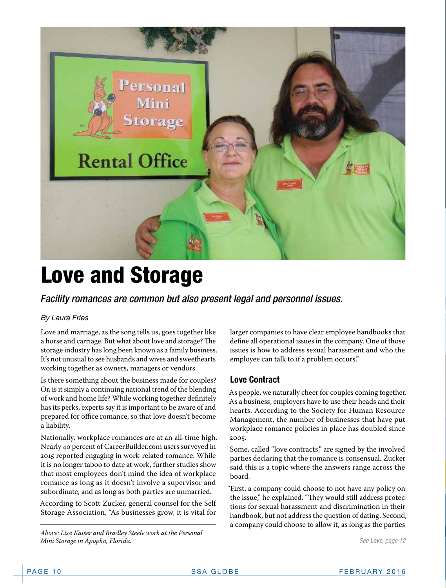

# Love and Storage

*Facility romances are common but also present legal and personnel issues.*

#### *By Laura Fries*

Love and marriage, as the song tells us, goes together like a horse and carriage. But what about love and storage? The storage industry has long been known as a family business. It's not unusual to see husbands and wives and sweethearts working together as owners, managers or vendors.

Is there something about the business made for couples? Or, is it simply a continuing national trend of the blending of work and home life? While working together definitely has its perks, experts say it is important to be aware of and prepared for office romance, so that love doesn't become a liability.

Nationally, workplace romances are at an all-time high. Nearly 40 percent of CareerBuilder.com users surveyed in 2015 reported engaging in work-related romance. While it is no longer taboo to date at work, further studies show that most employees don't mind the idea of workplace romance as long as it doesn't involve a supervisor and subordinate, and as long as both parties are unmarried.

According to Scott Zucker, general counsel for the Self Storage Association, "As businesses grow, it is vital for

*Above: Lisa Kaiser and Bradley Steele work at the Personal Mini Storage in Apopka, Florida.*

larger companies to have clear employee handbooks that define all operational issues in the company. One of those issues is how to address sexual harassment and who the employee can talk to if a problem occurs."

#### **Love Contract**

As people, we naturally cheer for couples coming together. As a business, employers have to use their heads and their hearts. According to the Society for Human Resource Management, the number of businesses that have put workplace romance policies in place has doubled since 2005.

Some, called "love contracts," are signed by the involved parties declaring that the romance is consensual. Zucker said this is a topic where the answers range across the board.

"First, a company could choose to not have any policy on the issue," he explained. "They would still address protections for sexual harassment and discrimination in their handbook, but not address the question of dating. Second, a company could choose to allow it, as long as the parties

*See Love, page 12*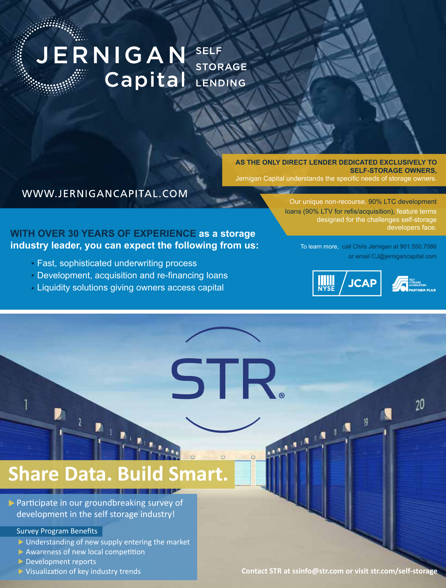#### JERNIGAN SELF **STORAGE** Capital LENDING

#### **AS THE ONLY DIRECT LENDER DEDICATED EXCLUSIVELY TO SELF-STORAGE OWNERS,** Jernigan Capital understands the specific needs of storage owners.

#### WWW.JERNIGANCAPITAL.COM

#### **WITH OVER 30 YEARS OF EXPERIENCE as a storage industry leader, you can expect the following from us:**

- Fast, sophisticated underwriting process
- Development, acquisition and re-financing loans
- Liquidity solutions giving owners access capital

STR.

Our unique non-recourse, 90% LTC development loans (90% LTV for refis/acquisition), feature terms designed for the challenges self-storage developers face

> To learn more, call Chris Jernigan at 901.550.7086 or email CJ@jernigancapital.com

> > 19

 $, \blacksquare$ 

 $\mathbf{r}^{\mathbf{N}}$ 

 $\mathbf{A}$ 





 $20$ 

# **[Share Data. Build Smart.](http://www.jernigancapital.com)**

 $\triangleright$  Participate in our groundbreaking survey of development in the self storage industry!

#### Survey Program Benefits

- $\triangleright$  Understanding of new supply entering the market
- Awareness of new local competition
- Development reports
- ▶ Visualization of key industry trends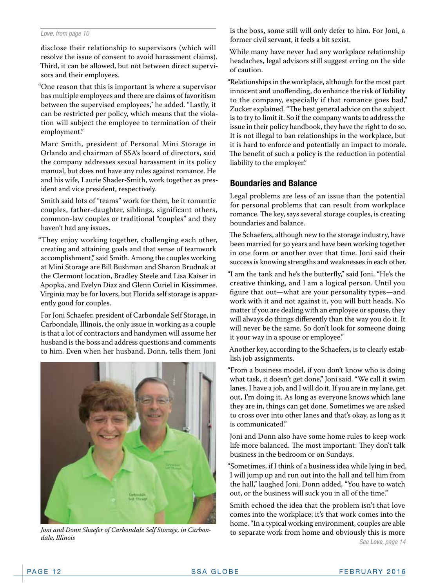#### *Love, from page 10*

disclose their relationship to supervisors (which will resolve the issue of consent to avoid harassment claims). Third, it can be allowed, but not between direct supervisors and their employees.

"One reason that this is important is where a supervisor has multiple employees and there are claims of favoritism between the supervised employees," he added. "Lastly, it can be restricted per policy, which means that the violation will subject the employee to termination of their employment."

Marc Smith, president of Personal Mini Storage in Orlando and chairman of SSA's board of directors, said the company addresses sexual harassment in its policy manual, but does not have any rules against romance. He and his wife, Laurie Shader-Smith, work together as president and vice president, respectively.

Smith said lots of "teams" work for them, be it romantic couples, father-daughter, siblings, significant others, common-law couples or traditional "couples" and they haven't had any issues.

"They enjoy working together, challenging each other, creating and attaining goals and that sense of teamwork accomplishment," said Smith. Among the couples working at Mini Storage are Bill Bushman and Sharon Brudnak at the Clermont location, Bradley Steele and Lisa Kaiser in Apopka, and Evelyn Diaz and Glenn Curiel in Kissimmee. Virginia may be for lovers, but Florida self storage is apparently good for couples.

For Joni Schaefer, president of Carbondale Self Storage, in Carbondale, Illinois, the only issue in working as a couple is that a lot of contractors and handymen will assume her husband is the boss and address questions and comments to him. Even when her husband, Donn, tells them Joni



*dale, Illinois*

is the boss, some still will only defer to him. For Joni, a former civil servant, it feels a bit sexist.

While many have never had any workplace relationship headaches, legal advisors still suggest erring on the side of caution.

"Relationships in the workplace, although for the most part innocent and unoffending, do enhance the risk of liability to the company, especially if that romance goes bad," Zucker explained. "The best general advice on the subject is to try to limit it. So if the company wants to address the issue in their policy handbook, they have the right to do so. It is not illegal to ban relationships in the workplace, but it is hard to enforce and potentially an impact to morale. The benefit of such a policy is the reduction in potential liability to the employer."

#### **Boundaries and Balance**

Legal problems are less of an issue than the potential for personal problems that can result from workplace romance. The key, says several storage couples, is creating boundaries and balance.

The Schaefers, although new to the storage industry, have been married for 30 years and have been working together in one form or another over that time. Joni said their success is knowing strengths and weaknesses in each other.

"I am the tank and he's the butterfly," said Joni. "He's the creative thinking, and I am a logical person. Until you figure that out—what are your personality types—and work with it and not against it, you will butt heads. No matter if you are dealing with an employee or spouse, they will always do things differently than the way you do it. It will never be the same. So don't look for someone doing it your way in a spouse or employee."

Another key, according to the Schaefers, is to clearly establish job assignments.

"From a business model, if you don't know who is doing what task, it doesn't get done," Joni said. "We call it swim lanes. I have a job, and I will do it. If you are in my lane, get out, I'm doing it. As long as everyone knows which lane they are in, things can get done. Sometimes we are asked to cross over into other lanes and that's okay, as long as it is communicated."

Joni and Donn also have some home rules to keep work life more balanced. The most important: They don't talk business in the bedroom or on Sundays.

"Sometimes, if I think of a business idea while lying in bed, I will jump up and run out into the hall and tell him from the hall," laughed Joni. Donn added, "You have to watch out, or the business will suck you in all of the time."

*See Love, page 14* Smith echoed the idea that the problem isn't that love comes into the workplace; it's that work comes into the home. "In a typical working environment, couples are able Joni and Donn Shaefer of Carbondale Self Storage, in Carbon-<br>
to separate work from home and obviously this is more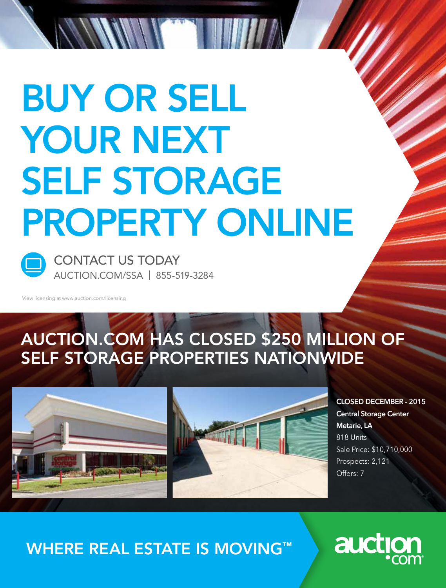# BUY OR SELL YOUR NEXT SELF STORAGE [PROPERTY ONLINE](http://www.auction.com)



CONTACT US TODAY AUCTION.COM/SSA | 855-519-3284

14 / 11 Mill 1 June

View licensing at www.auction.com/licensing

## AUCTION.COM HAS CLOSED \$250 MILLION OF SELF STORAGE PROPERTIES NATIONWIDE



CLOSED DECEMBER - 2015 Central Storage Center Metarie, LA 818 Units Sale Price: \$10,710,000 Prospects: 2,121 Offers: 7

## WHERE REAL ESTATE IS MOVING™